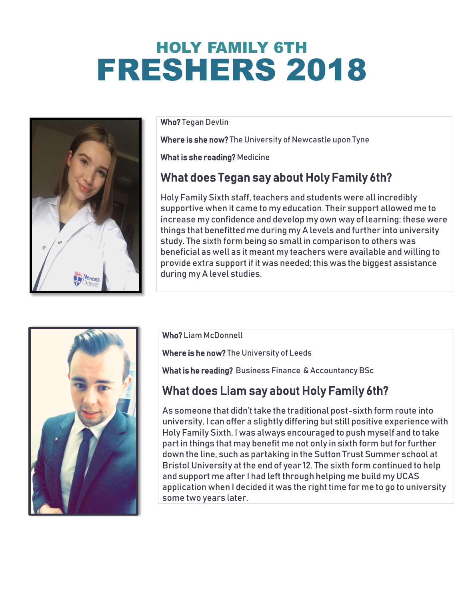# HOLY FAMILY 6TH FRESHERS 2018



Who? Tegan Devlin

Where is she now? The University of Newcastle upon Tyne

What is she reading? Medicine

### What does Tegan say about Holy Family 6th?

Holy Family Sixth staff, teachers and students were all incredibly supportive when it came to my education. Their support allowed me to increase my confidence and develop my own way of learning; these were things that benefitted me during my A levels and further into university study. The sixth form being so small in comparison to others was beneficial as well as it meant my teachers were available and willing to provide extra support if it was needed; this was the biggest assistance during my A level studies.



Who? Liam McDonnell

Where is he now? The University of Leeds

What is he reading? Business Finance & Accountancy BSc

#### What does Liam say about Holy Family 6th?

As someone that didn't take the traditional post-sixth form route into university, I can offer a slightly differing but still positive experience with Holy Family Sixth. I was always encouraged to push myself and to take part in things that may benefit me not only in sixth form but for further down the line, such as partaking in the Sutton Trust Summer school at Bristol University at the end of year 12. The sixth form continued to help and support me after I had left through helping me build my UCAS application when I decided it was the right time for me to go to university some two years later.